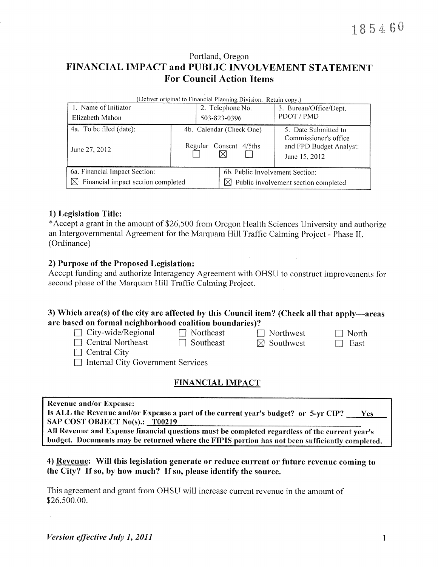### Portland, Oregon FINANCIAL IMPACT and PUBLIC INVOLVEMENT STATEMENT **For Council Action Items**

| (Deliver original to Financial Planning Division. Retain copy.) |                          |                                           |                                                                   |  |  |
|-----------------------------------------------------------------|--------------------------|-------------------------------------------|-------------------------------------------------------------------|--|--|
| 1. Name of Initiator                                            |                          | 2. Telephone No.                          | 3. Bureau/Office/Dept.                                            |  |  |
| Elizabeth Mahon                                                 |                          | 503-823-0396                              | PDOT / PMD                                                        |  |  |
| 4a. To be filed (date):                                         | 4b. Calendar (Check One) |                                           | 5. Date Submitted to                                              |  |  |
| June 27, 2012                                                   | Regular Consent 4/5ths   |                                           | Commissioner's office<br>and FPD Budget Analyst:<br>June 15, 2012 |  |  |
| 6a. Financial Impact Section:                                   |                          | 6b. Public Involvement Section:           |                                                                   |  |  |
| $\boxtimes$ Financial impact section completed                  |                          | Public involvement section completed<br>M |                                                                   |  |  |

#### 1) Legislation Title:

\*Accept a grant in the amount of \$26,500 from Oregon Health Sciences University and authorize an Intergovernmental Agreement for the Marquam Hill Traffic Calming Project - Phase II. (Ordinance)

#### 2) Purpose of the Proposed Legislation:

Accept funding and authorize Interagency Agreement with OHSU to construct improvements for second phase of the Marquam Hill Traffic Calming Project.

#### 3) Which area(s) of the city are affected by this Council item? (Check all that apply—areas are based on formal neighborhood coalition boundaries)?

| $\Box$ City-wide/Regional |  |
|---------------------------|--|
| $\Box$ Central Northeast  |  |

 $\Box$  Northeast  $\Box$  Southeast

 $\Box$  Northwest  $\boxtimes$  Southwest

 $\Box$  North  $\Box$  East

 $\Box$  Central City  $\Box$  Internal City Government Services

#### **FINANCIAL IMPACT**

|  |  | <b>Revenue and/or Expense:</b> |
|--|--|--------------------------------|
|--|--|--------------------------------|

| Is ALL the Revenue and/or Expense a part of the current year's budget? or 5-yr CIP?          | <b>Yes</b> |
|----------------------------------------------------------------------------------------------|------------|
| <b>SAP COST OBJECT No(s).: T00219</b>                                                        |            |
| All Dovonuo and Expansa financial quastions must be completed negrations of the summer month |            |

All Revenue and Expense financial questions must be completed regardless of the current year's budget. Documents may be returned where the FIPIS portion has not been sufficiently completed.

#### 4) Revenue: Will this legislation generate or reduce current or future revenue coming to the City? If so, by how much? If so, please identify the source.

This agreement and grant from OHSU will increase current revenue in the amount of \$26,500.00.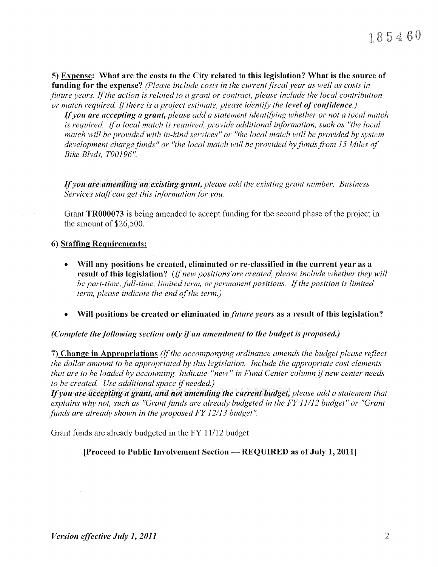5) Expense: What are the costs to the City related to this legislation? What is the source of funding for the expense? (Please include costs in the current fiscal year as well as costs in future years. If the action is related to a grant or contract, please include the local contribution or match required. If there is a project estimate, please identify the level of confidence.)

If you are accepting a grant, please add a statement identifying whether or not a local match is required. If a local match is required, provide additional information, such as "the local match will be provided with in-kind services" or "the local match will be provided by system development charge funds" or "the local match will be provided by funds from 15 Miles of Bike Blvds, T00196".

If you are amending an existing grant, please add the existing grant number. Business Services staff can get this information for you.

Grant TR000073 is being amended to accept funding for the second phase of the project in the amount of  $$26,500$ .

#### 6) Staffing Requirements:

- Will any positions be created, eliminated or re-classified in the current year as a result of this legislation? (If new positions are created, please include whether they will be part-time, full-time, limited term, or permanent positions. If the position is limited term, please indicate the end of the term.)
- Will positions be created or eliminated in *future years* as a result of this legislation?

(Complete the following section only if an amendment to the budget is proposed.)

7) Change in Appropriations (If the accompanying ordinance amends the budget please reflect the dollar amount to be appropriated by this legislation. Include the appropriate cost elements that are to be loaded by accounting. Indicate "new" in Fund Center column if new center needs to be created. Use additional space if needed.)

If you are accepting a grant, and not amending the current budget, please add a statement that explains why not, such as "Grant funds are already budgeted in the FY 11/12 budget" or "Grant funds are already shown in the proposed FY 12/13 budget".

Grant funds are already budgeted in the FY 11/12 budget

[Proceed to Public Involvement Section — REQUIRED as of July 1, 2011]